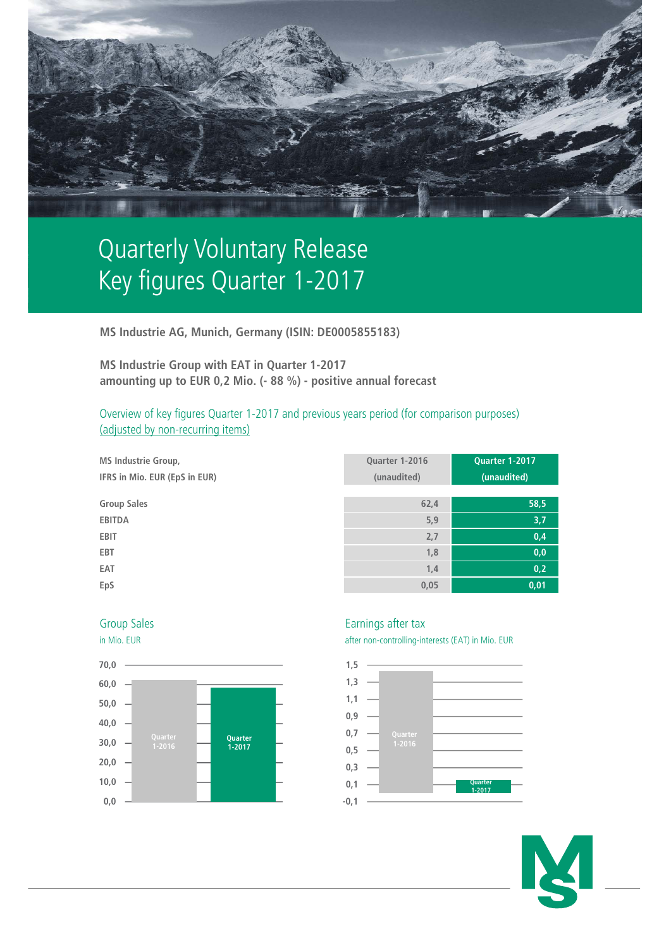

# Quarterly Voluntary Release Key figures Quarter 1-2017

**MS Industrie AG, Munich, Germany (ISIN: DE0005855183)**

**MS Industrie Group with EAT in Quarter 1-2017 amounting up to EUR 0,2 Mio. (- 88 %) - positive annual forecast**

Overview of key figures Quarter 1-2017 and previous years period (for comparison purposes) (adjusted by non-recurring items)

| <b>MS Industrie Group,</b>    | Quarter 1-2016 | <b>Quarter 1-2017</b> |
|-------------------------------|----------------|-----------------------|
| IFRS in Mio. EUR (EpS in EUR) | (unaudited)    | (unaudited)           |
| <b>Group Sales</b>            | 62,4           | 58,5                  |
| <b>EBITDA</b>                 | 5,9            | 3,7                   |
| <b>EBIT</b>                   | 2,7            | 0,4                   |
| <b>EBT</b>                    | 1,8            | 0,0                   |
| EAT                           | 1,4            | 0,2                   |
| EpS                           | 0,05           | 0,01                  |





## Group Sales **Earnings** after tax

in Mio. EUR after non-controlling-interests (EAT) in Mio. EUR



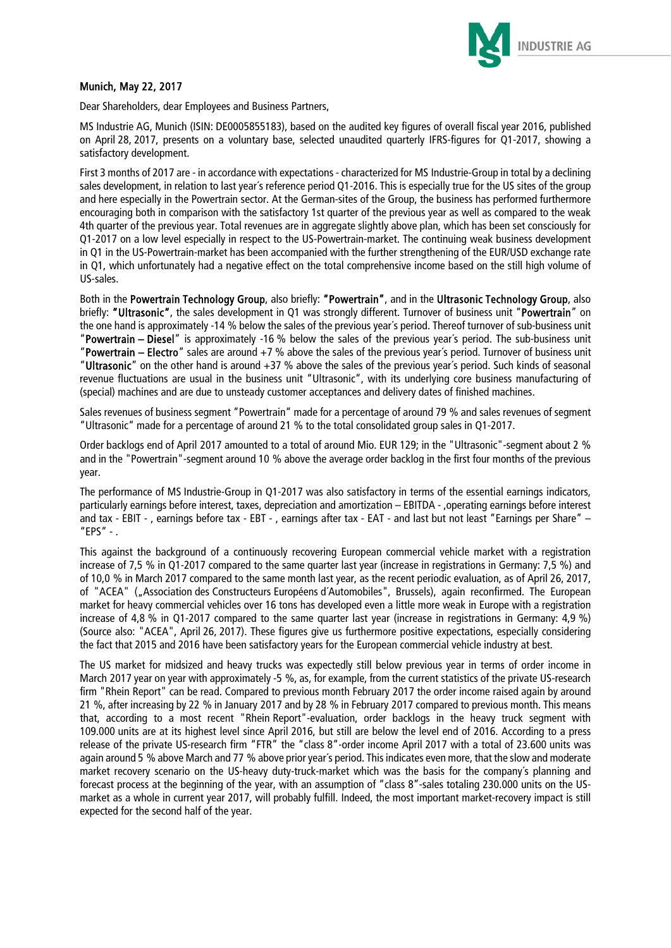

### Munich, May 22, 2017

Dear Shareholders, dear Employees and Business Partners,

MS Industrie AG, Munich (ISIN: DE0005855183), based on the audited key figures of overall fiscal year 2016, published on April 28, 2017, presents on a voluntary base, selected unaudited quarterly IFRS-figures for Q1-2017, showing a satisfactory development.

First 3 months of 2017 are - in accordance with expectations - characterized for MS Industrie-Group in total by a declining sales development, in relation to last year´s reference period Q1-2016. This is especially true for the US sites of the group and here especially in the Powertrain sector. At the German-sites of the Group, the business has performed furthermore encouraging both in comparison with the satisfactory 1st quarter of the previous year as well as compared to the weak 4th quarter of the previous year. Total revenues are in aggregate slightly above plan, which has been set consciously for Q1-2017 on a low level especially in respect to the US-Powertrain-market. The continuing weak business development in Q1 in the US-Powertrain-market has been accompanied with the further strengthening of the EUR/USD exchange rate in Q1, which unfortunately had a negative effect on the total comprehensive income based on the still high volume of US-sales.

Both in the Powertrain Technology Group, also briefly: "Powertrain", and in the Ultrasonic Technology Group, also briefly: "Ultrasonic", the sales development in Q1 was strongly different. Turnover of business unit "Powertrain" on the one hand is approximately -14 % below the sales of the previous year´s period. Thereof turnover of sub-business unit "Powertrain – Diesel" is approximately -16 % below the sales of the previous year´s period. The sub-business unit "Powertrain – Electro" sales are around +7 % above the sales of the previous year´s period. Turnover of business unit "Ultrasonic" on the other hand is around +37 % above the sales of the previous year´s period. Such kinds of seasonal revenue fluctuations are usual in the business unit "Ultrasonic", with its underlying core business manufacturing of (special) machines and are due to unsteady customer acceptances and delivery dates of finished machines.

Sales revenues of business segment "Powertrain" made for a percentage of around 79 % and sales revenues of segment "Ultrasonic" made for a percentage of around 21 % to the total consolidated group sales in Q1-2017.

Order backlogs end of April 2017 amounted to a total of around Mio. EUR 129; in the "Ultrasonic"-segment about 2 % and in the "Powertrain"-segment around 10 % above the average order backlog in the first four months of the previous year.

The performance of MS Industrie-Group in Q1-2017 was also satisfactory in terms of the essential earnings indicators, particularly earnings before interest, taxes, depreciation and amortization – EBITDA - ,operating earnings before interest and tax - EBIT - , earnings before tax - EBT - , earnings after tax - EAT - and last but not least "Earnings per Share" – "EPS" - .

This against the background of a continuously recovering European commercial vehicle market with a registration increase of 7,5 % in Q1-2017 compared to the same quarter last year (increase in registrations in Germany: 7,5 %) and of 10,0 % in March 2017 compared to the same month last year, as the recent periodic evaluation, as of April 26, 2017, of "ACEA" ("Association des Constructeurs Européens d´Automobiles", Brussels), again reconfirmed. The European market for heavy commercial vehicles over 16 tons has developed even a little more weak in Europe with a registration increase of 4,8 % in Q1-2017 compared to the same quarter last year (increase in registrations in Germany: 4,9 %) (Source also: "ACEA", April 26, 2017). These figures give us furthermore positive expectations, especially considering the fact that 2015 and 2016 have been satisfactory years for the European commercial vehicle industry at best.

The US market for midsized and heavy trucks was expectedly still below previous year in terms of order income in March 2017 year on year with approximately -5 %, as, for example, from the current statistics of the private US-research firm "Rhein Report" can be read. Compared to previous month February 2017 the order income raised again by around 21 %, after increasing by 22 % in January 2017 and by 28 % in February 2017 compared to previous month. This means that, according to a most recent "Rhein Report"-evaluation, order backlogs in the heavy truck segment with 109.000 units are at its highest level since April 2016, but still are below the level end of 2016. According to a press release of the private US-research firm "FTR" the "class 8"-order income April 2017 with a total of 23.600 units was again around 5 % above March and 77 % above prior year´s period. This indicates even more, that the slow and moderate market recovery scenario on the US-heavy duty-truck-market which was the basis for the company´s planning and forecast process at the beginning of the year, with an assumption of "class 8"-sales totaling 230.000 units on the USmarket as a whole in current year 2017, will probably fulfill. Indeed, the most important market-recovery impact is still expected for the second half of the year.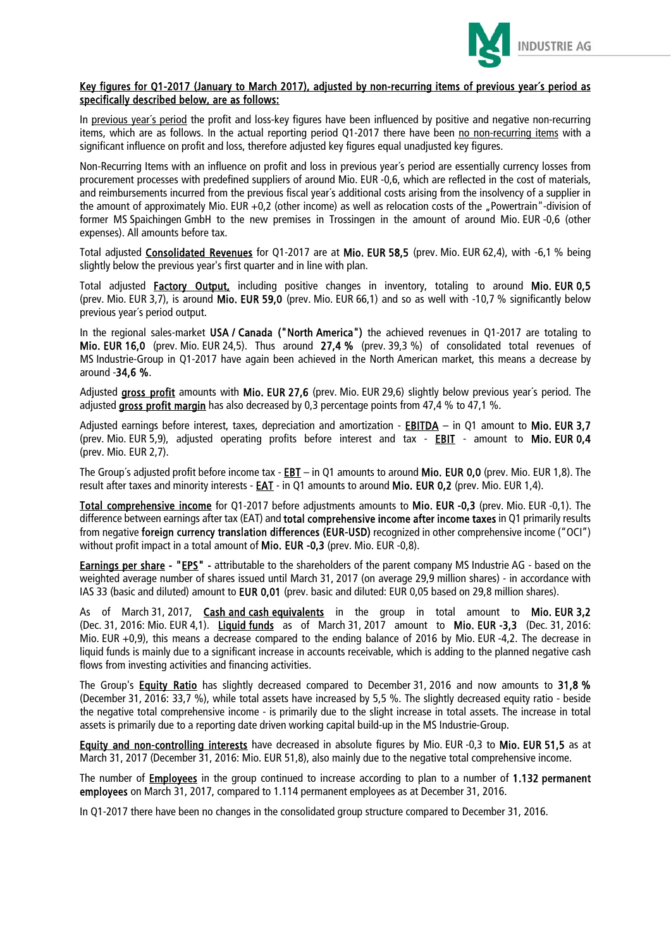

#### Key figures for Q1-2017 (January to March 2017), adjusted by non-recurring items of previous year´s period as specifically described below, are as follows:

In previous vear's period the profit and loss-key figures have been influenced by positive and negative non-recurring items, which are as follows. In the actual reporting period Q1-2017 there have been no non-recurring items with a significant influence on profit and loss, therefore adjusted key figures equal unadjusted key figures.

Non-Recurring Items with an influence on profit and loss in previous year´s period are essentially currency losses from procurement processes with predefined suppliers of around Mio. EUR -0,6, which are reflected in the cost of materials, and reimbursements incurred from the previous fiscal year´s additional costs arising from the insolvency of a supplier in the amount of approximately Mio. EUR +0.2 (other income) as well as relocation costs of the "Powertrain"-division of former MS Spaichingen GmbH to the new premises in Trossingen in the amount of around Mio. EUR -0,6 (other expenses). All amounts before tax.

Total adjusted **Consolidated Revenues** for Q1-2017 are at Mio. EUR 58,5 (prev. Mio. EUR 62,4), with -6,1 % being slightly below the previous year's first quarter and in line with plan.

Total adjusted **Factory Output**, including positive changes in inventory, totaling to around Mio. EUR 0,5 (prev. Mio. EUR 3,7), is around Mio. EUR 59,0 (prev. Mio. EUR 66,1) and so as well with -10,7 % significantly below previous year´s period output.

In the regional sales-market USA / Canada ("North America") the achieved revenues in Q1-2017 are totaling to Mio. EUR 16,0 (prev. Mio. EUR 24,5). Thus around 27,4 % (prev. 39,3 %) of consolidated total revenues of MS Industrie-Group in Q1-2017 have again been achieved in the North American market, this means a decrease by around -34,6 %.

Adjusted gross profit amounts with Mio. EUR 27.6 (prev. Mio. EUR 29.6) slightly below previous year's period. The adjusted gross profit margin has also decreased by 0,3 percentage points from 47,4 % to 47,1 %.

Adjusted earnings before interest, taxes, depreciation and amortization - EBITDA – in Q1 amount to Mio. EUR 3,7 (prev. Mio. EUR 5,9), adjusted operating profits before interest and tax - EBIT - amount to Mio. EUR 0,4 (prev. Mio. EUR 2,7).

The Group's adjusted profit before income tax -  $EBT -$  in Q1 amounts to around Mio. EUR 0,0 (prev. Mio. EUR 1,8). The result after taxes and minority interests - **EAT** - in Q1 amounts to around Mio. EUR 0,2 (prev. Mio. EUR 1,4).

Total comprehensive income for Q1-2017 before adjustments amounts to Mio. EUR -0,3 (prev. Mio. EUR -0,1). The difference between earnings after tax (EAT) and total comprehensive income after income taxes in Q1 primarily results from negative foreign currency translation differences (EUR-USD) recognized in other comprehensive income ("OCI") without profit impact in a total amount of Mio. EUR -0,3 (prev. Mio. EUR -0,8).

Earnings per share - "EPS" - attributable to the shareholders of the parent company MS Industrie AG - based on the weighted average number of shares issued until March 31, 2017 (on average 29,9 million shares) - in accordance with IAS 33 (basic and diluted) amount to EUR 0,01 (prev. basic and diluted: EUR 0,05 based on 29,8 million shares).

As of March 31, 2017, Cash and cash equivalents in the group in total amount to Mio. EUR 3,2 (Dec. 31, 2016: Mio. EUR 4,1). Liquid funds as of March 31, 2017 amount to Mio. EUR -3,3 (Dec. 31, 2016: Mio. EUR +0,9), this means a decrease compared to the ending balance of 2016 by Mio. EUR -4,2. The decrease in liquid funds is mainly due to a significant increase in accounts receivable, which is adding to the planned negative cash flows from investing activities and financing activities.

The Group's Equity Ratio has slightly decreased compared to December 31, 2016 and now amounts to 31,8 % (December 31, 2016: 33,7 %), while total assets have increased by 5,5 %. The slightly decreased equity ratio - beside the negative total comprehensive income - is primarily due to the slight increase in total assets. The increase in total assets is primarily due to a reporting date driven working capital build-up in the MS Industrie-Group.

Equity and non-controlling interests have decreased in absolute figures by Mio. EUR -0,3 to Mio. EUR 51,5 as at March 31, 2017 (December 31, 2016: Mio. EUR 51,8), also mainly due to the negative total comprehensive income.

The number of **Employees** in the group continued to increase according to plan to a number of 1.132 permanent employees on March 31, 2017, compared to 1.114 permanent employees as at December 31, 2016.

In Q1-2017 there have been no changes in the consolidated group structure compared to December 31, 2016.